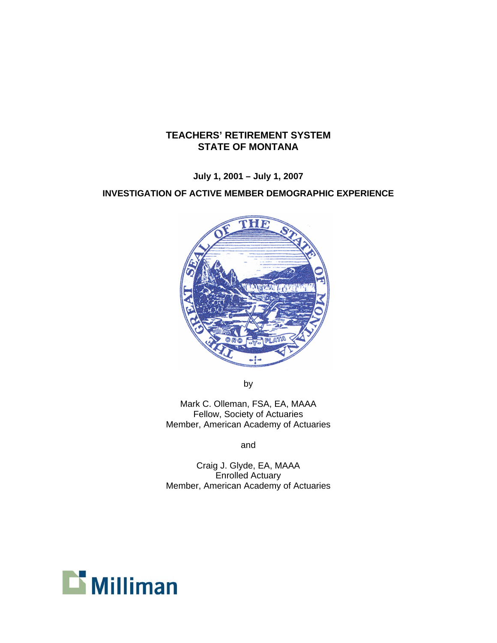# **TEACHERS' RETIREMENT SYSTEM STATE OF MONTANA**

**July 1, 2001 – July 1, 2007** 

# **INVESTIGATION OF ACTIVE MEMBER DEMOGRAPHIC EXPERIENCE**



by

Mark C. Olleman, FSA, EA, MAAA Fellow, Society of Actuaries Member, American Academy of Actuaries

and

Craig J. Glyde, EA, MAAA Enrolled Actuary Member, American Academy of Actuaries

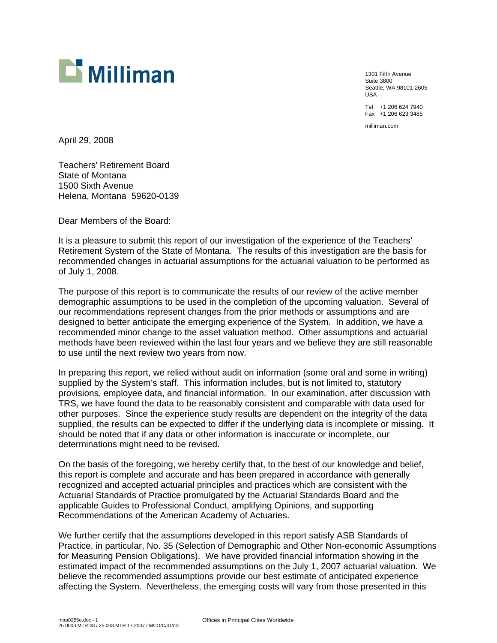

1301 Fifth Avenue Suite 3800 Seattle, WA 98101-2605 USA Tel +1 206 624 7940

Fax +1 206 623 3485

milliman.com

April 29, 2008

Teachers' Retirement Board State of Montana 1500 Sixth Avenue Helena, Montana 59620-0139

Dear Members of the Board:

It is a pleasure to submit this report of our investigation of the experience of the Teachers' Retirement System of the State of Montana. The results of this investigation are the basis for recommended changes in actuarial assumptions for the actuarial valuation to be performed as of July 1, 2008.

The purpose of this report is to communicate the results of our review of the active member demographic assumptions to be used in the completion of the upcoming valuation. Several of our recommendations represent changes from the prior methods or assumptions and are designed to better anticipate the emerging experience of the System. In addition, we have a recommended minor change to the asset valuation method. Other assumptions and actuarial methods have been reviewed within the last four years and we believe they are still reasonable to use until the next review two years from now.

In preparing this report, we relied without audit on information (some oral and some in writing) supplied by the System's staff. This information includes, but is not limited to, statutory provisions, employee data, and financial information. In our examination, after discussion with TRS, we have found the data to be reasonably consistent and comparable with data used for other purposes. Since the experience study results are dependent on the integrity of the data supplied, the results can be expected to differ if the underlying data is incomplete or missing. It should be noted that if any data or other information is inaccurate or incomplete, our determinations might need to be revised.

On the basis of the foregoing, we hereby certify that, to the best of our knowledge and belief, this report is complete and accurate and has been prepared in accordance with generally recognized and accepted actuarial principles and practices which are consistent with the Actuarial Standards of Practice promulgated by the Actuarial Standards Board and the applicable Guides to Professional Conduct, amplifying Opinions, and supporting Recommendations of the American Academy of Actuaries.

We further certify that the assumptions developed in this report satisfy ASB Standards of Practice, in particular, No. 35 (Selection of Demographic and Other Non-economic Assumptions for Measuring Pension Obligations). We have provided financial information showing in the estimated impact of the recommended assumptions on the July 1, 2007 actuarial valuation. We believe the recommended assumptions provide our best estimate of anticipated experience affecting the System. Nevertheless, the emerging costs will vary from those presented in this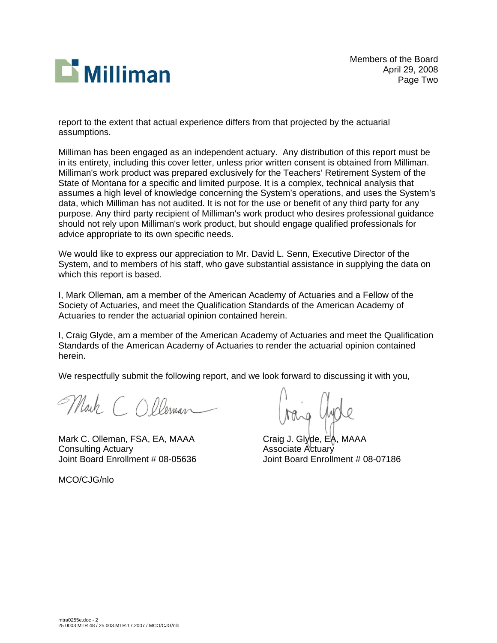

Members of the Board April 29, 2008 Page Two

report to the extent that actual experience differs from that projected by the actuarial assumptions.

Milliman has been engaged as an independent actuary. Any distribution of this report must be in its entirety, including this cover letter, unless prior written consent is obtained from Milliman. Milliman's work product was prepared exclusively for the Teachers' Retirement System of the State of Montana for a specific and limited purpose. It is a complex, technical analysis that assumes a high level of knowledge concerning the System's operations, and uses the System's data, which Milliman has not audited. It is not for the use or benefit of any third party for any purpose. Any third party recipient of Milliman's work product who desires professional guidance should not rely upon Milliman's work product, but should engage qualified professionals for advice appropriate to its own specific needs.

We would like to express our appreciation to Mr. David L. Senn, Executive Director of the System, and to members of his staff, who gave substantial assistance in supplying the data on which this report is based.

I, Mark Olleman, am a member of the American Academy of Actuaries and a Fellow of the Society of Actuaries, and meet the Qualification Standards of the American Academy of Actuaries to render the actuarial opinion contained herein.

I, Craig Glyde, am a member of the American Academy of Actuaries and meet the Qualification Standards of the American Academy of Actuaries to render the actuarial opinion contained herein.

We respectfully submit the following report, and we look forward to discussing it with you,

Mark COlleman

Mark C. Olleman, FSA, EA, MAAA Craig J. Glyde, EA, MAAA Consulting Actuary Associate Actuary<br>Associate Actuary Aoint Board Enrollr

MCO/CJG/nlo

Joint Board Enrollment # 08-05636 Joint Board Enrollment # 08-07186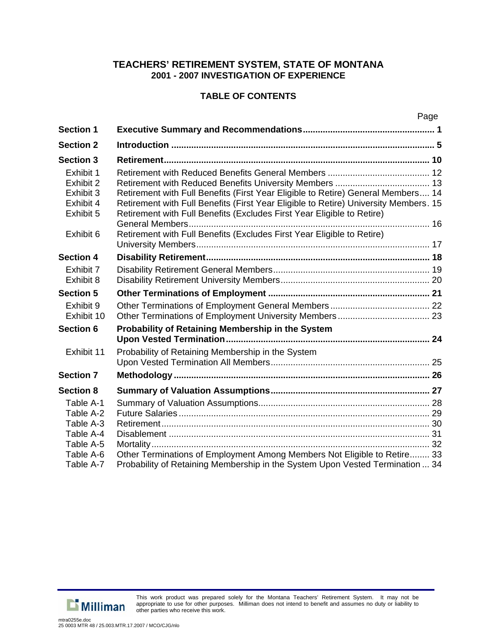# **TABLE OF CONTENTS**

| <b>Section 1</b> |                                                                                      |  |
|------------------|--------------------------------------------------------------------------------------|--|
| <b>Section 2</b> |                                                                                      |  |
| <b>Section 3</b> |                                                                                      |  |
| Exhibit 1        |                                                                                      |  |
| Exhibit 2        |                                                                                      |  |
| Exhibit 3        | Retirement with Full Benefits (First Year Eligible to Retire) General Members 14     |  |
| Exhibit 4        | Retirement with Full Benefits (First Year Eligible to Retire) University Members. 15 |  |
| Exhibit 5        | Retirement with Full Benefits (Excludes First Year Eligible to Retire)               |  |
|                  |                                                                                      |  |
| Exhibit 6        | Retirement with Full Benefits (Excludes First Year Eligible to Retire)               |  |
|                  |                                                                                      |  |
| <b>Section 4</b> |                                                                                      |  |
| Exhibit 7        |                                                                                      |  |
| Exhibit 8        |                                                                                      |  |
| <b>Section 5</b> |                                                                                      |  |
| Exhibit 9        |                                                                                      |  |
| Exhibit 10       |                                                                                      |  |
| <b>Section 6</b> | Probability of Retaining Membership in the System                                    |  |
|                  |                                                                                      |  |
| Exhibit 11       | Probability of Retaining Membership in the System                                    |  |
|                  |                                                                                      |  |
| <b>Section 7</b> |                                                                                      |  |
| <b>Section 8</b> |                                                                                      |  |
| Table A-1        |                                                                                      |  |
| Table A-2        |                                                                                      |  |
| Table A-3        |                                                                                      |  |
| Table A-4        |                                                                                      |  |
| Table A-5        |                                                                                      |  |
| Table A-6        | Other Terminations of Employment Among Members Not Eligible to Retire 33             |  |
| Table A-7        | Probability of Retaining Membership in the System Upon Vested Termination  34        |  |



This work product was prepared solely for the Montana Teachers' Retirement System. It may not be appropriate to use for other purposes. Milliman does not intend to benefit and assumes no duty or liability to other parties who receive this work.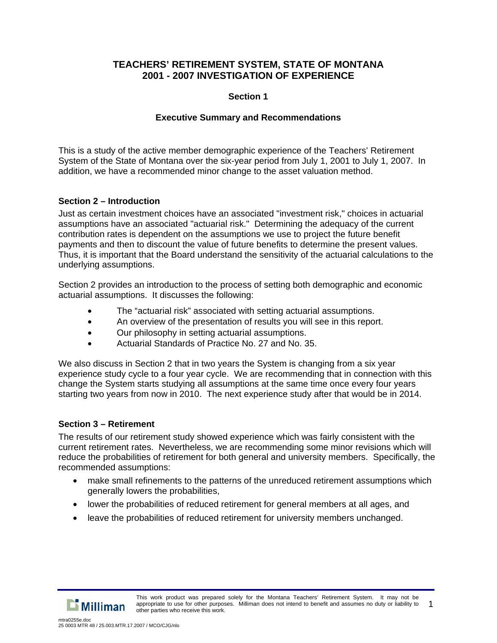### **Section 1**

# **Executive Summary and Recommendations**

This is a study of the active member demographic experience of the Teachers' Retirement System of the State of Montana over the six-year period from July 1, 2001 to July 1, 2007. In addition, we have a recommended minor change to the asset valuation method.

# **Section 2 – Introduction**

Just as certain investment choices have an associated "investment risk," choices in actuarial assumptions have an associated "actuarial risk." Determining the adequacy of the current contribution rates is dependent on the assumptions we use to project the future benefit payments and then to discount the value of future benefits to determine the present values. Thus, it is important that the Board understand the sensitivity of the actuarial calculations to the underlying assumptions.

Section 2 provides an introduction to the process of setting both demographic and economic actuarial assumptions. It discusses the following:

- The "actuarial risk" associated with setting actuarial assumptions.
- An overview of the presentation of results you will see in this report.
- Our philosophy in setting actuarial assumptions.
- Actuarial Standards of Practice No. 27 and No. 35.

We also discuss in Section 2 that in two years the System is changing from a six year experience study cycle to a four year cycle. We are recommending that in connection with this change the System starts studying all assumptions at the same time once every four years starting two years from now in 2010. The next experience study after that would be in 2014.

### **Section 3 – Retirement**

The results of our retirement study showed experience which was fairly consistent with the current retirement rates. Nevertheless, we are recommending some minor revisions which will reduce the probabilities of retirement for both general and university members. Specifically, the recommended assumptions:

- make small refinements to the patterns of the unreduced retirement assumptions which generally lowers the probabilities,
- lower the probabilities of reduced retirement for general members at all ages, and
- leave the probabilities of reduced retirement for university members unchanged.

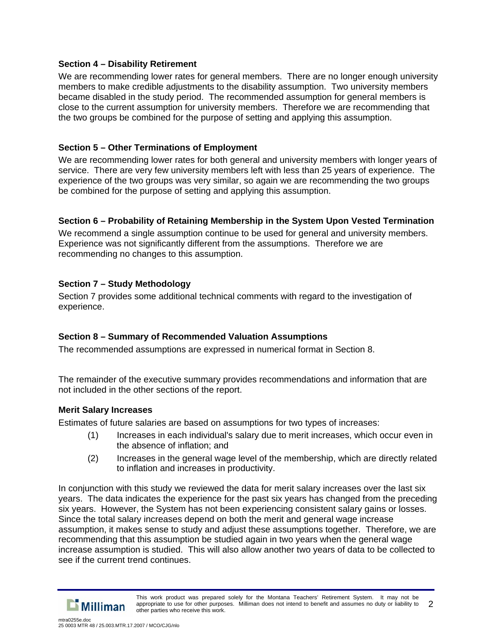### **Section 4 – Disability Retirement**

We are recommending lower rates for general members. There are no longer enough university members to make credible adjustments to the disability assumption. Two university members became disabled in the study period. The recommended assumption for general members is close to the current assumption for university members. Therefore we are recommending that the two groups be combined for the purpose of setting and applying this assumption.

# **Section 5 – Other Terminations of Employment**

We are recommending lower rates for both general and university members with longer years of service. There are very few university members left with less than 25 years of experience. The experience of the two groups was very similar, so again we are recommending the two groups be combined for the purpose of setting and applying this assumption.

# **Section 6 – Probability of Retaining Membership in the System Upon Vested Termination**

We recommend a single assumption continue to be used for general and university members. Experience was not significantly different from the assumptions. Therefore we are recommending no changes to this assumption.

# **Section 7 – Study Methodology**

Section 7 provides some additional technical comments with regard to the investigation of experience.

# **Section 8 – Summary of Recommended Valuation Assumptions**

The recommended assumptions are expressed in numerical format in Section 8.

The remainder of the executive summary provides recommendations and information that are not included in the other sections of the report.

### **Merit Salary Increases**

Estimates of future salaries are based on assumptions for two types of increases:

- (1) Increases in each individual's salary due to merit increases, which occur even in the absence of inflation; and
- (2) Increases in the general wage level of the membership, which are directly related to inflation and increases in productivity.

In conjunction with this study we reviewed the data for merit salary increases over the last six years. The data indicates the experience for the past six years has changed from the preceding six years. However, the System has not been experiencing consistent salary gains or losses. Since the total salary increases depend on both the merit and general wage increase assumption, it makes sense to study and adjust these assumptions together. Therefore, we are recommending that this assumption be studied again in two years when the general wage increase assumption is studied. This will also allow another two years of data to be collected to see if the current trend continues.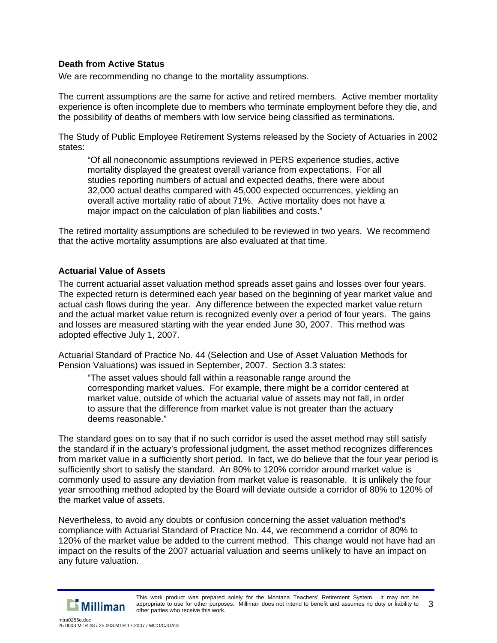#### **Death from Active Status**

We are recommending no change to the mortality assumptions.

The current assumptions are the same for active and retired members. Active member mortality experience is often incomplete due to members who terminate employment before they die, and the possibility of deaths of members with low service being classified as terminations.

The Study of Public Employee Retirement Systems released by the Society of Actuaries in 2002 states:

"Of all noneconomic assumptions reviewed in PERS experience studies, active mortality displayed the greatest overall variance from expectations. For all studies reporting numbers of actual and expected deaths, there were about 32,000 actual deaths compared with 45,000 expected occurrences, yielding an overall active mortality ratio of about 71%. Active mortality does not have a major impact on the calculation of plan liabilities and costs."

The retired mortality assumptions are scheduled to be reviewed in two years. We recommend that the active mortality assumptions are also evaluated at that time.

#### **Actuarial Value of Assets**

The current actuarial asset valuation method spreads asset gains and losses over four years. The expected return is determined each year based on the beginning of year market value and actual cash flows during the year. Any difference between the expected market value return and the actual market value return is recognized evenly over a period of four years. The gains and losses are measured starting with the year ended June 30, 2007. This method was adopted effective July 1, 2007.

Actuarial Standard of Practice No. 44 (Selection and Use of Asset Valuation Methods for Pension Valuations) was issued in September, 2007. Section 3.3 states:

"The asset values should fall within a reasonable range around the corresponding market values. For example, there might be a corridor centered at market value, outside of which the actuarial value of assets may not fall, in order to assure that the difference from market value is not greater than the actuary deems reasonable."

The standard goes on to say that if no such corridor is used the asset method may still satisfy the standard if in the actuary's professional judgment, the asset method recognizes differences from market value in a sufficiently short period. In fact, we do believe that the four year period is sufficiently short to satisfy the standard. An 80% to 120% corridor around market value is commonly used to assure any deviation from market value is reasonable. It is unlikely the four year smoothing method adopted by the Board will deviate outside a corridor of 80% to 120% of the market value of assets.

Nevertheless, to avoid any doubts or confusion concerning the asset valuation method's compliance with Actuarial Standard of Practice No. 44, we recommend a corridor of 80% to 120% of the market value be added to the current method. This change would not have had an impact on the results of the 2007 actuarial valuation and seems unlikely to have an impact on any future valuation.

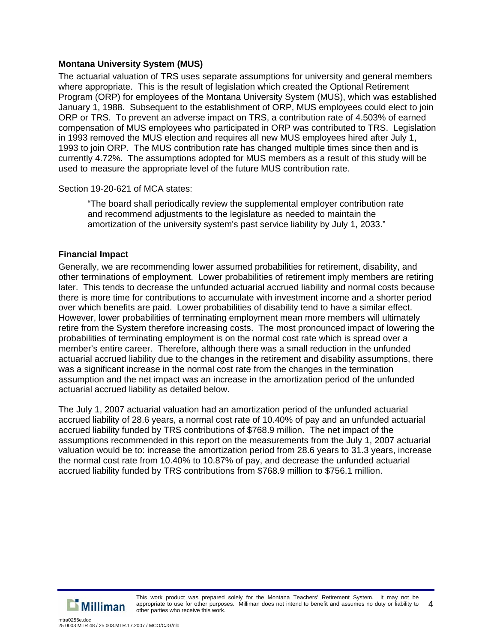# **Montana University System (MUS)**

The actuarial valuation of TRS uses separate assumptions for university and general members where appropriate. This is the result of legislation which created the Optional Retirement Program (ORP) for employees of the Montana University System (MUS), which was established January 1, 1988. Subsequent to the establishment of ORP, MUS employees could elect to join ORP or TRS. To prevent an adverse impact on TRS, a contribution rate of 4.503% of earned compensation of MUS employees who participated in ORP was contributed to TRS. Legislation in 1993 removed the MUS election and requires all new MUS employees hired after July 1, 1993 to join ORP. The MUS contribution rate has changed multiple times since then and is currently 4.72%. The assumptions adopted for MUS members as a result of this study will be used to measure the appropriate level of the future MUS contribution rate.

Section 19-20-621 of MCA states:

"The board shall periodically review the supplemental employer contribution rate and recommend adjustments to the legislature as needed to maintain the amortization of the university system's past service liability by July 1, 2033."

### **Financial Impact**

Generally, we are recommending lower assumed probabilities for retirement, disability, and other terminations of employment. Lower probabilities of retirement imply members are retiring later. This tends to decrease the unfunded actuarial accrued liability and normal costs because there is more time for contributions to accumulate with investment income and a shorter period over which benefits are paid. Lower probabilities of disability tend to have a similar effect. However, lower probabilities of terminating employment mean more members will ultimately retire from the System therefore increasing costs. The most pronounced impact of lowering the probabilities of terminating employment is on the normal cost rate which is spread over a member's entire career. Therefore, although there was a small reduction in the unfunded actuarial accrued liability due to the changes in the retirement and disability assumptions, there was a significant increase in the normal cost rate from the changes in the termination assumption and the net impact was an increase in the amortization period of the unfunded actuarial accrued liability as detailed below.

The July 1, 2007 actuarial valuation had an amortization period of the unfunded actuarial accrued liability of 28.6 years, a normal cost rate of 10.40% of pay and an unfunded actuarial accrued liability funded by TRS contributions of \$768.9 million. The net impact of the assumptions recommended in this report on the measurements from the July 1, 2007 actuarial valuation would be to: increase the amortization period from 28.6 years to 31.3 years, increase the normal cost rate from 10.40% to 10.87% of pay, and decrease the unfunded actuarial accrued liability funded by TRS contributions from \$768.9 million to \$756.1 million.



This work product was prepared solely for the Montana Teachers' Retirement System. It may not be appropriate to use for other purposes. Milliman does not intend to benefit and assumes no duty or liability to other parties who receive this work. 4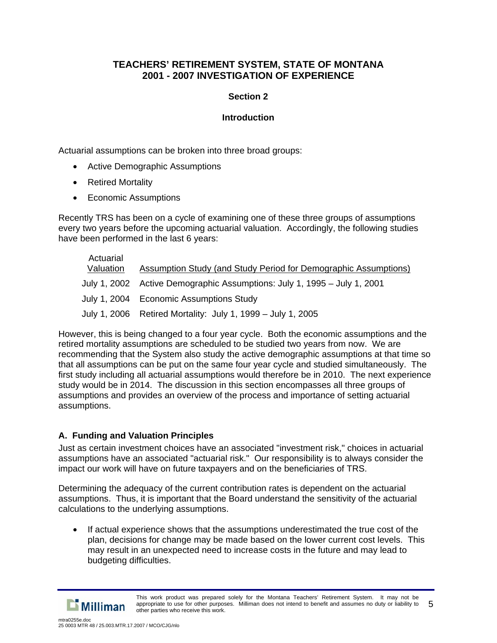# **Section 2**

### **Introduction**

Actuarial assumptions can be broken into three broad groups:

- Active Demographic Assumptions
- Retired Mortality
- Economic Assumptions

Recently TRS has been on a cycle of examining one of these three groups of assumptions every two years before the upcoming actuarial valuation. Accordingly, the following studies have been performed in the last 6 years:

| Actuarial<br>Valuation | Assumption Study (and Study Period for Demographic Assumptions)          |
|------------------------|--------------------------------------------------------------------------|
|                        | July 1, 2002 Active Demographic Assumptions: July 1, 1995 - July 1, 2001 |
|                        | July 1, 2004 Economic Assumptions Study                                  |
|                        | July 1, 2006 Retired Mortality: July 1, 1999 – July 1, 2005              |

However, this is being changed to a four year cycle. Both the economic assumptions and the retired mortality assumptions are scheduled to be studied two years from now. We are recommending that the System also study the active demographic assumptions at that time so that all assumptions can be put on the same four year cycle and studied simultaneously. The first study including all actuarial assumptions would therefore be in 2010. The next experience study would be in 2014. The discussion in this section encompasses all three groups of assumptions and provides an overview of the process and importance of setting actuarial assumptions.

# **A. Funding and Valuation Principles**

Just as certain investment choices have an associated "investment risk," choices in actuarial assumptions have an associated "actuarial risk." Our responsibility is to always consider the impact our work will have on future taxpayers and on the beneficiaries of TRS.

Determining the adequacy of the current contribution rates is dependent on the actuarial assumptions. Thus, it is important that the Board understand the sensitivity of the actuarial calculations to the underlying assumptions.

• If actual experience shows that the assumptions underestimated the true cost of the plan, decisions for change may be made based on the lower current cost levels. This may result in an unexpected need to increase costs in the future and may lead to budgeting difficulties.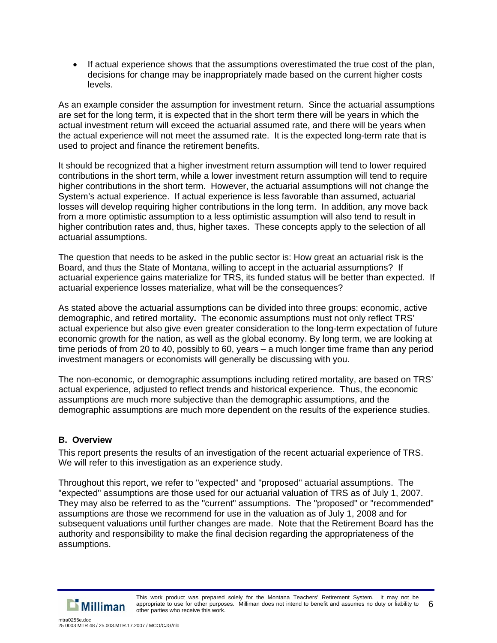• If actual experience shows that the assumptions overestimated the true cost of the plan, decisions for change may be inappropriately made based on the current higher costs levels.

As an example consider the assumption for investment return. Since the actuarial assumptions are set for the long term, it is expected that in the short term there will be years in which the actual investment return will exceed the actuarial assumed rate, and there will be years when the actual experience will not meet the assumed rate. It is the expected long-term rate that is used to project and finance the retirement benefits.

It should be recognized that a higher investment return assumption will tend to lower required contributions in the short term, while a lower investment return assumption will tend to require higher contributions in the short term. However, the actuarial assumptions will not change the System's actual experience. If actual experience is less favorable than assumed, actuarial losses will develop requiring higher contributions in the long term. In addition, any move back from a more optimistic assumption to a less optimistic assumption will also tend to result in higher contribution rates and, thus, higher taxes. These concepts apply to the selection of all actuarial assumptions.

The question that needs to be asked in the public sector is: How great an actuarial risk is the Board, and thus the State of Montana, willing to accept in the actuarial assumptions? If actuarial experience gains materialize for TRS, its funded status will be better than expected. If actuarial experience losses materialize, what will be the consequences?

As stated above the actuarial assumptions can be divided into three groups: economic, active demographic, and retired mortality**.** The economic assumptions must not only reflect TRS' actual experience but also give even greater consideration to the long-term expectation of future economic growth for the nation, as well as the global economy. By long term, we are looking at time periods of from 20 to 40, possibly to 60, years – a much longer time frame than any period investment managers or economists will generally be discussing with you.

The non-economic, or demographic assumptions including retired mortality, are based on TRS' actual experience, adjusted to reflect trends and historical experience. Thus, the economic assumptions are much more subjective than the demographic assumptions, and the demographic assumptions are much more dependent on the results of the experience studies.

# **B. Overview**

This report presents the results of an investigation of the recent actuarial experience of TRS. We will refer to this investigation as an experience study.

Throughout this report, we refer to "expected" and "proposed" actuarial assumptions. The "expected" assumptions are those used for our actuarial valuation of TRS as of July 1, 2007. They may also be referred to as the "current" assumptions. The "proposed" or "recommended" assumptions are those we recommend for use in the valuation as of July 1, 2008 and for subsequent valuations until further changes are made. Note that the Retirement Board has the authority and responsibility to make the final decision regarding the appropriateness of the assumptions.

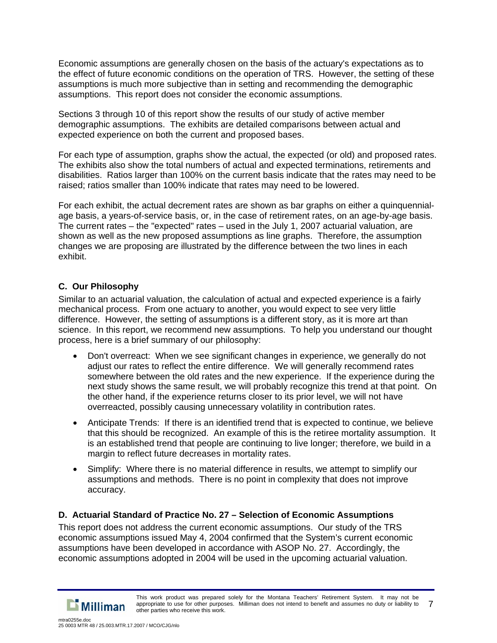Economic assumptions are generally chosen on the basis of the actuary's expectations as to the effect of future economic conditions on the operation of TRS. However, the setting of these assumptions is much more subjective than in setting and recommending the demographic assumptions. This report does not consider the economic assumptions.

Sections 3 through 10 of this report show the results of our study of active member demographic assumptions. The exhibits are detailed comparisons between actual and expected experience on both the current and proposed bases.

For each type of assumption, graphs show the actual, the expected (or old) and proposed rates. The exhibits also show the total numbers of actual and expected terminations, retirements and disabilities. Ratios larger than 100% on the current basis indicate that the rates may need to be raised; ratios smaller than 100% indicate that rates may need to be lowered.

For each exhibit, the actual decrement rates are shown as bar graphs on either a quinquennialage basis, a years-of-service basis, or, in the case of retirement rates, on an age-by-age basis. The current rates – the "expected" rates – used in the July 1, 2007 actuarial valuation, are shown as well as the new proposed assumptions as line graphs. Therefore, the assumption changes we are proposing are illustrated by the difference between the two lines in each exhibit.

# **C. Our Philosophy**

Similar to an actuarial valuation, the calculation of actual and expected experience is a fairly mechanical process. From one actuary to another, you would expect to see very little difference. However, the setting of assumptions is a different story, as it is more art than science. In this report, we recommend new assumptions. To help you understand our thought process, here is a brief summary of our philosophy:

- Don't overreact: When we see significant changes in experience, we generally do not adjust our rates to reflect the entire difference. We will generally recommend rates somewhere between the old rates and the new experience. If the experience during the next study shows the same result, we will probably recognize this trend at that point. On the other hand, if the experience returns closer to its prior level, we will not have overreacted, possibly causing unnecessary volatility in contribution rates.
- Anticipate Trends: If there is an identified trend that is expected to continue, we believe that this should be recognized. An example of this is the retiree mortality assumption. It is an established trend that people are continuing to live longer; therefore, we build in a margin to reflect future decreases in mortality rates.
- Simplify: Where there is no material difference in results, we attempt to simplify our assumptions and methods. There is no point in complexity that does not improve accuracy.

# **D. Actuarial Standard of Practice No. 27 – Selection of Economic Assumptions**

This report does not address the current economic assumptions. Our study of the TRS economic assumptions issued May 4, 2004 confirmed that the System's current economic assumptions have been developed in accordance with ASOP No. 27. Accordingly, the economic assumptions adopted in 2004 will be used in the upcoming actuarial valuation.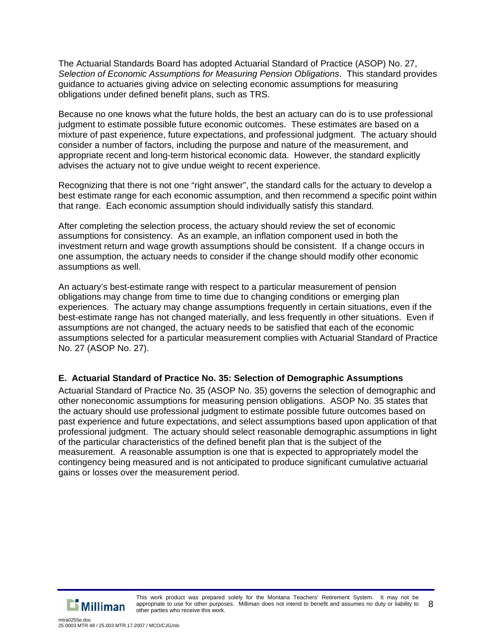The Actuarial Standards Board has adopted Actuarial Standard of Practice (ASOP) No. 27, *Selection of Economic Assumptions for Measuring Pension Obligations*. This standard provides guidance to actuaries giving advice on selecting economic assumptions for measuring obligations under defined benefit plans, such as TRS.

Because no one knows what the future holds, the best an actuary can do is to use professional judgment to estimate possible future economic outcomes. These estimates are based on a mixture of past experience, future expectations, and professional judgment. The actuary should consider a number of factors, including the purpose and nature of the measurement, and appropriate recent and long-term historical economic data. However, the standard explicitly advises the actuary not to give undue weight to recent experience.

Recognizing that there is not one "right answer", the standard calls for the actuary to develop a best estimate range for each economic assumption, and then recommend a specific point within that range. Each economic assumption should individually satisfy this standard.

After completing the selection process, the actuary should review the set of economic assumptions for consistency. As an example, an inflation component used in both the investment return and wage growth assumptions should be consistent. If a change occurs in one assumption, the actuary needs to consider if the change should modify other economic assumptions as well.

An actuary's best-estimate range with respect to a particular measurement of pension obligations may change from time to time due to changing conditions or emerging plan experiences. The actuary may change assumptions frequently in certain situations, even if the best-estimate range has not changed materially, and less frequently in other situations. Even if assumptions are not changed, the actuary needs to be satisfied that each of the economic assumptions selected for a particular measurement complies with Actuarial Standard of Practice No. 27 (ASOP No. 27).

### **E. Actuarial Standard of Practice No. 35: Selection of Demographic Assumptions**

Actuarial Standard of Practice No. 35 (ASOP No. 35) governs the selection of demographic and other noneconomic assumptions for measuring pension obligations. ASOP No. 35 states that the actuary should use professional judgment to estimate possible future outcomes based on past experience and future expectations, and select assumptions based upon application of that professional judgment. The actuary should select reasonable demographic assumptions in light of the particular characteristics of the defined benefit plan that is the subject of the measurement. A reasonable assumption is one that is expected to appropriately model the contingency being measured and is not anticipated to produce significant cumulative actuarial gains or losses over the measurement period.

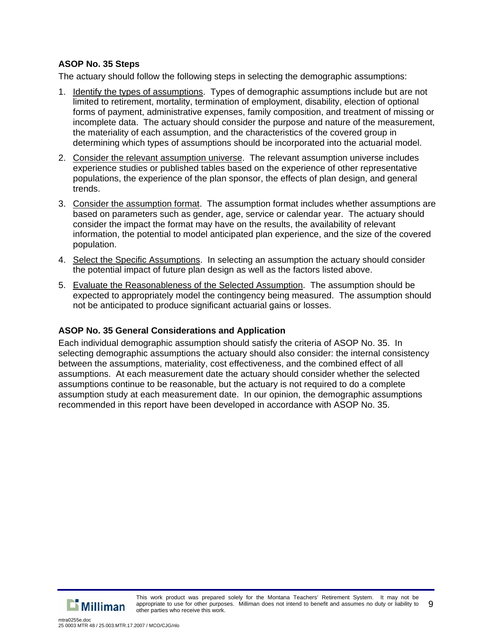# **ASOP No. 35 Steps**

The actuary should follow the following steps in selecting the demographic assumptions:

- 1. Identify the types of assumptions. Types of demographic assumptions include but are not limited to retirement, mortality, termination of employment, disability, election of optional forms of payment, administrative expenses, family composition, and treatment of missing or incomplete data. The actuary should consider the purpose and nature of the measurement, the materiality of each assumption, and the characteristics of the covered group in determining which types of assumptions should be incorporated into the actuarial model.
- 2. Consider the relevant assumption universe. The relevant assumption universe includes experience studies or published tables based on the experience of other representative populations, the experience of the plan sponsor, the effects of plan design, and general trends.
- 3. Consider the assumption format. The assumption format includes whether assumptions are based on parameters such as gender, age, service or calendar year. The actuary should consider the impact the format may have on the results, the availability of relevant information, the potential to model anticipated plan experience, and the size of the covered population.
- 4. Select the Specific Assumptions. In selecting an assumption the actuary should consider the potential impact of future plan design as well as the factors listed above.
- 5. Evaluate the Reasonableness of the Selected Assumption. The assumption should be expected to appropriately model the contingency being measured. The assumption should not be anticipated to produce significant actuarial gains or losses.

# **ASOP No. 35 General Considerations and Application**

Each individual demographic assumption should satisfy the criteria of ASOP No. 35. In selecting demographic assumptions the actuary should also consider: the internal consistency between the assumptions, materiality, cost effectiveness, and the combined effect of all assumptions. At each measurement date the actuary should consider whether the selected assumptions continue to be reasonable, but the actuary is not required to do a complete assumption study at each measurement date. In our opinion, the demographic assumptions recommended in this report have been developed in accordance with ASOP No. 35.

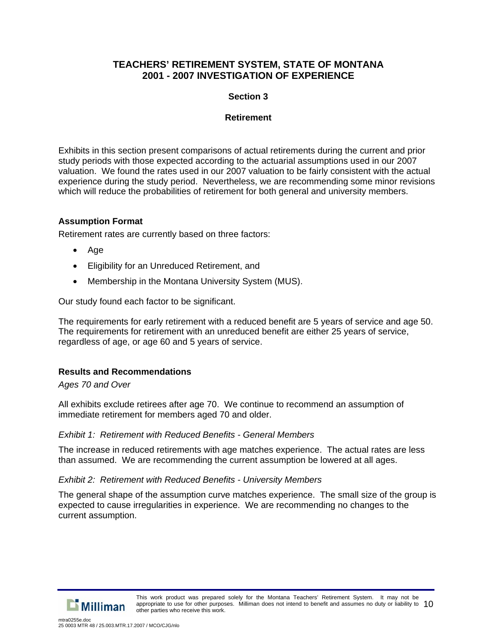### **Section 3**

### **Retirement**

Exhibits in this section present comparisons of actual retirements during the current and prior study periods with those expected according to the actuarial assumptions used in our 2007 valuation. We found the rates used in our 2007 valuation to be fairly consistent with the actual experience during the study period. Nevertheless, we are recommending some minor revisions which will reduce the probabilities of retirement for both general and university members.

# **Assumption Format**

Retirement rates are currently based on three factors:

- Age
- Eligibility for an Unreduced Retirement, and
- Membership in the Montana University System (MUS).

Our study found each factor to be significant.

The requirements for early retirement with a reduced benefit are 5 years of service and age 50. The requirements for retirement with an unreduced benefit are either 25 years of service, regardless of age, or age 60 and 5 years of service.

### **Results and Recommendations**

*Ages 70 and Over* 

All exhibits exclude retirees after age 70. We continue to recommend an assumption of immediate retirement for members aged 70 and older.

### *Exhibit 1: Retirement with Reduced Benefits - General Members*

The increase in reduced retirements with age matches experience. The actual rates are less than assumed. We are recommending the current assumption be lowered at all ages.

#### *Exhibit 2: Retirement with Reduced Benefits - University Members*

The general shape of the assumption curve matches experience. The small size of the group is expected to cause irregularities in experience. We are recommending no changes to the current assumption.

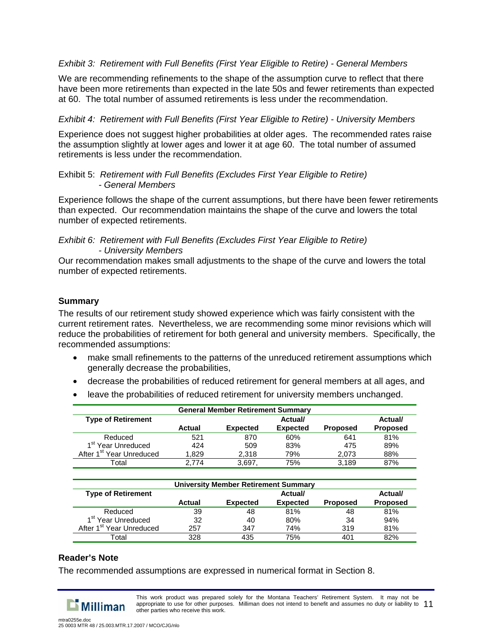### *Exhibit 3: Retirement with Full Benefits (First Year Eligible to Retire) - General Members*

We are recommending refinements to the shape of the assumption curve to reflect that there have been more retirements than expected in the late 50s and fewer retirements than expected at 60. The total number of assumed retirements is less under the recommendation.

#### *Exhibit 4: Retirement with Full Benefits (First Year Eligible to Retire) - University Members*

Experience does not suggest higher probabilities at older ages. The recommended rates raise the assumption slightly at lower ages and lower it at age 60. The total number of assumed retirements is less under the recommendation.

#### Exhibit 5: *Retirement with Full Benefits (Excludes First Year Eligible to Retire) - General Members*

Experience follows the shape of the current assumptions, but there have been fewer retirements than expected. Our recommendation maintains the shape of the curve and lowers the total number of expected retirements.

*Exhibit 6: Retirement with Full Benefits (Excludes First Year Eligible to Retire) - University Members* 

Our recommendation makes small adjustments to the shape of the curve and lowers the total number of expected retirements.

#### **Summary**

The results of our retirement study showed experience which was fairly consistent with the current retirement rates. Nevertheless, we are recommending some minor revisions which will reduce the probabilities of retirement for both general and university members. Specifically, the recommended assumptions:

- make small refinements to the patterns of the unreduced retirement assumptions which generally decrease the probabilities,
- decrease the probabilities of reduced retirement for general members at all ages, and
- leave the probabilities of reduced retirement for university members unchanged.

| <b>General Member Retirement Summary</b> |        |                 |                 |                 |                 |
|------------------------------------------|--------|-----------------|-----------------|-----------------|-----------------|
| <b>Type of Retirement</b><br>Actual/     |        |                 |                 | Actual/         |                 |
|                                          | Actual | <b>Expected</b> | <b>Expected</b> | <b>Proposed</b> | <b>Proposed</b> |
| Reduced                                  | 521    | 870             | 60%             | 641             | 81%             |
| 1 <sup>st</sup> Year Unreduced           | 424    | 509             | 83%             | 475             | 89%             |
| After 1 <sup>st</sup> Year Unreduced     | 1.829  | 2.318           | 79%             | 2.073           | 88%             |
| ⊺otal                                    | 2.774  | 3.697           | 75%             | 3.189           | 87%             |

| <b>University Member Retirement Summary</b> |        |                 |                 |                 |                 |  |
|---------------------------------------------|--------|-----------------|-----------------|-----------------|-----------------|--|
| <b>Type of Retirement</b>                   |        |                 | Actual/         |                 | Actual/         |  |
|                                             | Actual | <b>Expected</b> | <b>Expected</b> | <b>Proposed</b> | <b>Proposed</b> |  |
| Reduced                                     | 39     | 48              | 81%             | 48              | 81%             |  |
| 1 <sup>st</sup> Year Unreduced              | 32     | 40              | 80%             | 34              | 94%             |  |
| After 1 <sup>st</sup> Year Unreduced        | 257    | 347             | 74%             | 319             | 81%             |  |
| Total                                       | 328    | 435             | 75%             | 401             | 82%             |  |

### **Reader's Note**

The recommended assumptions are expressed in numerical format in Section 8.



This work product was prepared solely for the Montana Teachers' Retirement System. It may not be appropriate to use for other purposes. Milliman does not intend to benefit and assumes no duty or liability to 11 other parties who receive this work.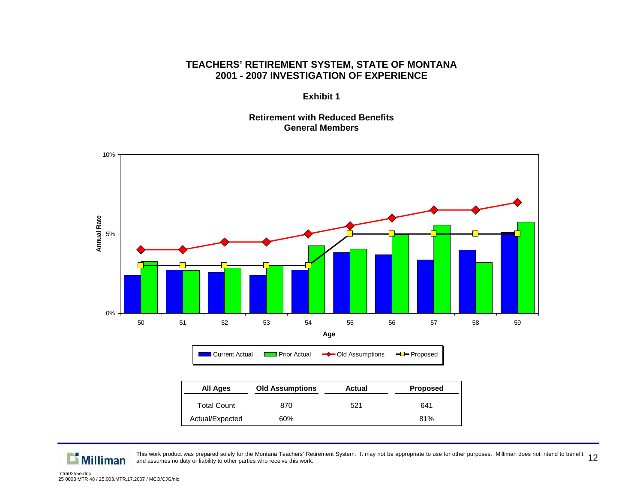**Exhibit 1** 

### **Retirement with Reduced Benefits General Members**



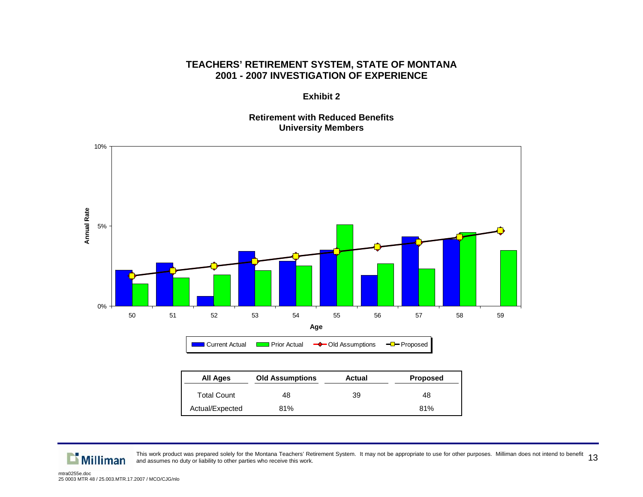**Exhibit 2** 

#### **Retirement with Reduced Benefits University Members**



| All Ages           | Old Assumptions | Actual | <b>Proposed</b> |
|--------------------|-----------------|--------|-----------------|
| <b>Total Count</b> | 48              | 39     | 48              |
| Actual/Expected    | 81%             |        | 81%             |

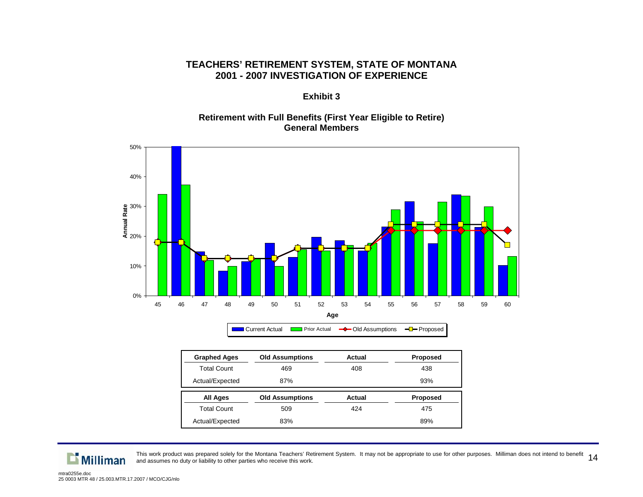#### **Exhibit 3**

### **Retirement with Full Benefits (First Year Eligible to Retire) General Members**



| <b>Graphed Ages</b> | <b>Old Assumptions</b> | Actual | <b>Proposed</b> |
|---------------------|------------------------|--------|-----------------|
| <b>Total Count</b>  | 469                    | 408    | 438             |
| Actual/Expected     | 87%                    |        | 93%             |
|                     |                        |        |                 |
| All Ages            | <b>Old Assumptions</b> | Actual | <b>Proposed</b> |
| <b>Total Count</b>  | 509                    | 424    | 475             |



This work product was prepared solely for the Montana Teachers' Retirement System. It may not be appropriate to use for other purposes. Milliman does not intend to benefit  $\:14$ <br>and assumes no duty or liability to other pa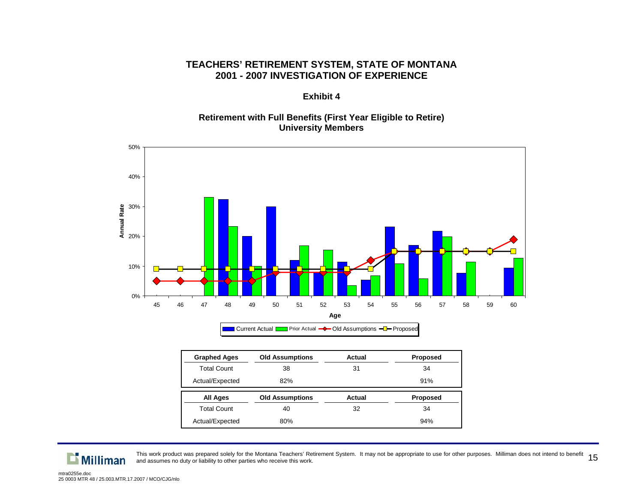**Exhibit 4** 

### **Retirement with Full Benefits (First Year Eligible to Retire) University Members**



| <b>Graphed Ages</b> | <b>Old Assumptions</b> | Actual        | <b>Proposed</b> |
|---------------------|------------------------|---------------|-----------------|
| <b>Total Count</b>  | 38                     | 31            | 34              |
| Actual/Expected     | 82%                    |               | 91%             |
|                     |                        |               |                 |
| All Ages            | <b>Old Assumptions</b> | <b>Actual</b> | <b>Proposed</b> |
| <b>Total Count</b>  | 40                     | 32            | 34              |

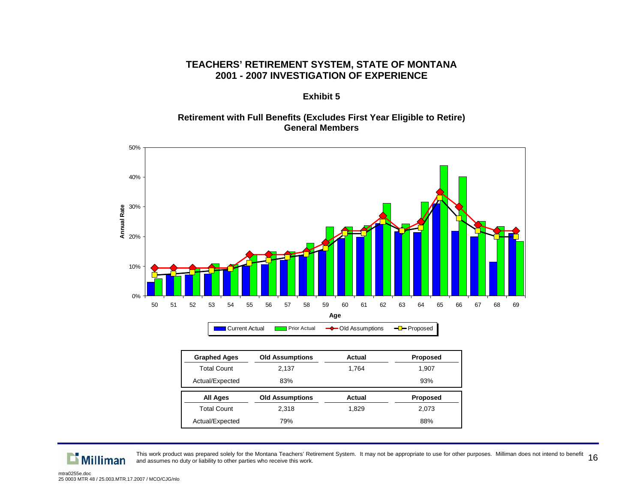### **Exhibit 5**

### **Retirement with Full Benefits (Excludes First Year Eligible to Retire) General Members**



| <b>Graphed Ages</b> | <b>Old Assumptions</b> | Actual | <b>Proposed</b> |
|---------------------|------------------------|--------|-----------------|
| <b>Total Count</b>  | 2.137                  | 1.764  |                 |
| Actual/Expected     | 83%                    |        | 93%             |
|                     |                        |        |                 |
| All Ages            | <b>Old Assumptions</b> | Actual | <b>Proposed</b> |
| <b>Total Count</b>  | 2.318                  | 1.829  | 2,073           |

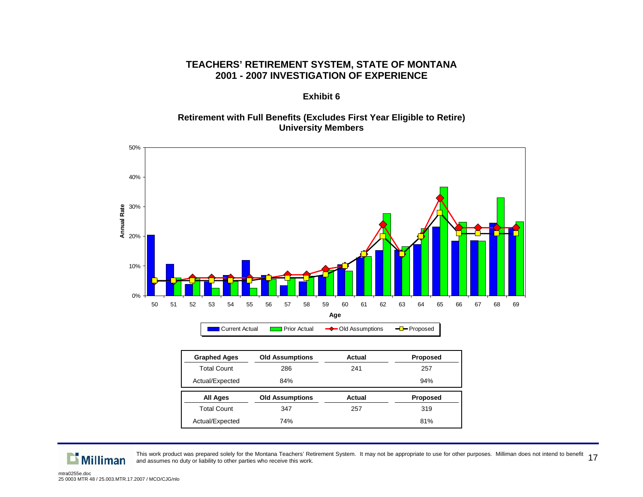#### **Exhibit 6**

#### **Retirement with Full Benefits (Excludes First Year Eligible to Retire) University Members**



| <b>Graphed Ages</b> | <b>Old Assumptions</b> | Actual | <b>Proposed</b> |
|---------------------|------------------------|--------|-----------------|
| <b>Total Count</b>  | 286<br>241             |        | 257             |
| Actual/Expected     | 84%                    |        | 94%             |
|                     |                        |        |                 |
| All Ages            | <b>Old Assumptions</b> | Actual | <b>Proposed</b> |
| <b>Total Count</b>  | 347                    | 257    | 319             |

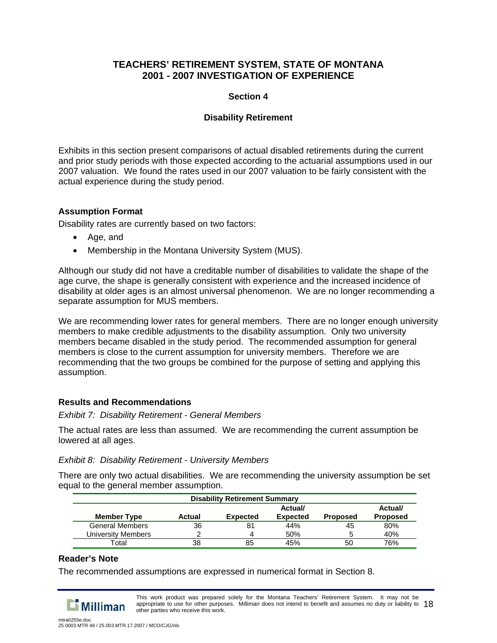### **Section 4**

# **Disability Retirement**

Exhibits in this section present comparisons of actual disabled retirements during the current and prior study periods with those expected according to the actuarial assumptions used in our 2007 valuation. We found the rates used in our 2007 valuation to be fairly consistent with the actual experience during the study period.

# **Assumption Format**

Disability rates are currently based on two factors:

- Age, and
- Membership in the Montana University System (MUS).

Although our study did not have a creditable number of disabilities to validate the shape of the age curve, the shape is generally consistent with experience and the increased incidence of disability at older ages is an almost universal phenomenon. We are no longer recommending a separate assumption for MUS members.

We are recommending lower rates for general members. There are no longer enough university members to make credible adjustments to the disability assumption. Only two university members became disabled in the study period. The recommended assumption for general members is close to the current assumption for university members. Therefore we are recommending that the two groups be combined for the purpose of setting and applying this assumption.

### **Results and Recommendations**

### *Exhibit 7: Disability Retirement - General Members*

The actual rates are less than assumed. We are recommending the current assumption be lowered at all ages.

### *Exhibit 8: Disability Retirement - University Members*

There are only two actual disabilities. We are recommending the university assumption be set equal to the general member assumption.

|                        | <b>Disability Retirement Summary</b> |                 |                 |          |                 |  |
|------------------------|--------------------------------------|-----------------|-----------------|----------|-----------------|--|
|                        |                                      |                 | Actual/         |          | Actual/         |  |
| <b>Member Type</b>     | Actual                               | <b>Expected</b> | <b>Expected</b> | Proposed | <b>Proposed</b> |  |
| <b>General Members</b> | 36                                   | 81              | 44%             | 45       | 80%             |  |
| University Members     |                                      |                 | 50%             |          | 40%             |  |
| Total                  | 38                                   | 85              | 45%             | 50       | 76%             |  |

### **Reader's Note**

The recommended assumptions are expressed in numerical format in Section 8.



This work product was prepared solely for the Montana Teachers' Retirement System. It may not be appropriate to use for other purposes. Milliman does not intend to benefit and assumes no duty or liability to  $18$ other parties who receive this work.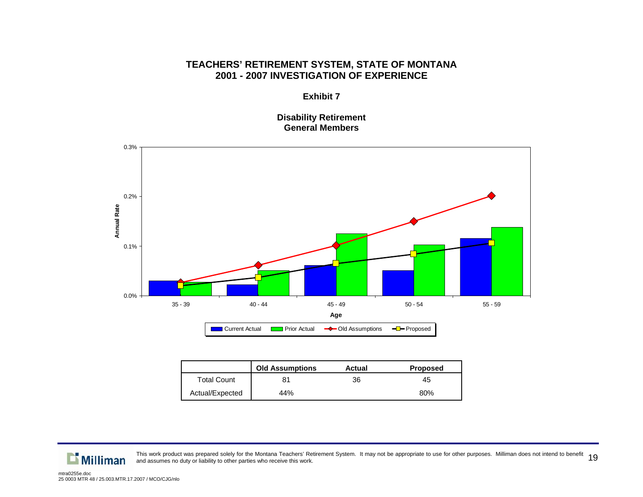#### **Exhibit 7**

**Disability Retirement General Members** 



|                    | <b>Old Assumptions</b> | Actual | <b>Proposed</b> |
|--------------------|------------------------|--------|-----------------|
| <b>Total Count</b> | 81                     | 36     | 45              |
| Actual/Expected    | 44%                    |        | 80%             |

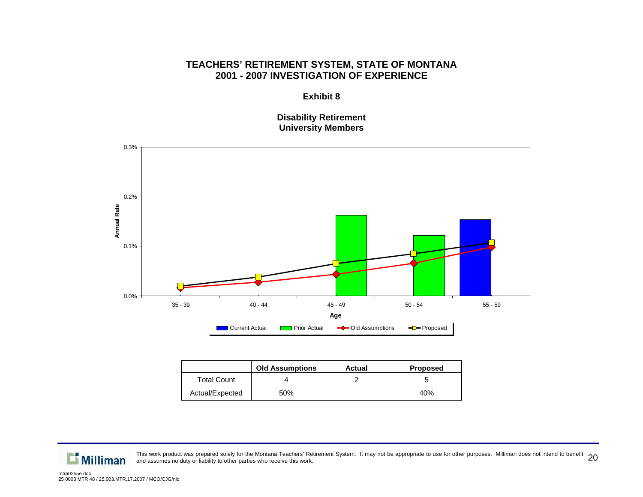**Exhibit 8** 

**Disability Retirement University Members** 



|                    | <b>Old Assumptions</b> | Actual | <b>Proposed</b> |
|--------------------|------------------------|--------|-----------------|
| <b>Total Count</b> |                        |        |                 |
| Actual/Expected    | 50%                    |        | 40%             |

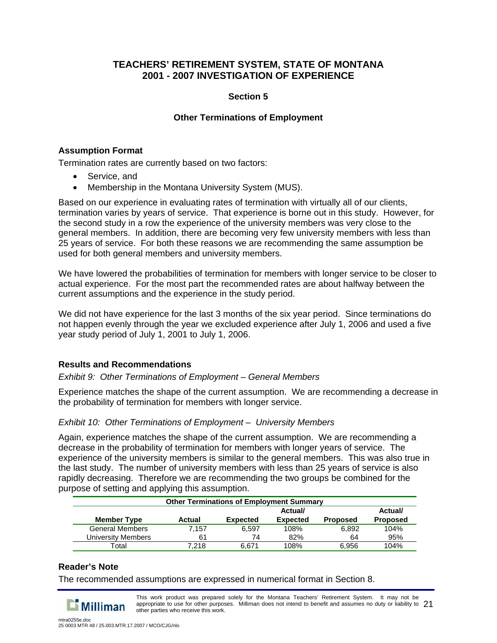# **Section 5**

# **Other Terminations of Employment**

### **Assumption Format**

Termination rates are currently based on two factors:

- Service, and
- Membership in the Montana University System (MUS).

Based on our experience in evaluating rates of termination with virtually all of our clients, termination varies by years of service. That experience is borne out in this study. However, for the second study in a row the experience of the university members was very close to the general members. In addition, there are becoming very few university members with less than 25 years of service. For both these reasons we are recommending the same assumption be used for both general members and university members.

We have lowered the probabilities of termination for members with longer service to be closer to actual experience. For the most part the recommended rates are about halfway between the current assumptions and the experience in the study period.

We did not have experience for the last 3 months of the six year period. Since terminations do not happen evenly through the year we excluded experience after July 1, 2006 and used a five year study period of July 1, 2001 to July 1, 2006.

### **Results and Recommendations**

### *Exhibit 9: Other Terminations of Employment – General Members*

Experience matches the shape of the current assumption. We are recommending a decrease in the probability of termination for members with longer service.

### *Exhibit 10: Other Terminations of Employment – University Members*

Again, experience matches the shape of the current assumption. We are recommending a decrease in the probability of termination for members with longer years of service. The experience of the university members is similar to the general members. This was also true in the last study. The number of university members with less than 25 years of service is also rapidly decreasing. Therefore we are recommending the two groups be combined for the purpose of setting and applying this assumption.

|                        | <b>Other Terminations of Employment Summary</b> |                 |                 |                 |                 |
|------------------------|-------------------------------------------------|-----------------|-----------------|-----------------|-----------------|
|                        |                                                 |                 | Actual/         |                 | Actual/         |
| <b>Member Type</b>     | Actual                                          | <b>Expected</b> | <b>Expected</b> | <b>Proposed</b> | <b>Proposed</b> |
| <b>General Members</b> | 7.157                                           | 6.597           | 108%            | 6.892           | 104%            |
| University Members     | 61                                              | 74              | 82%             | 64              | 95%             |
| Total                  | 7.218                                           | 6.671           | 108%            | 6.956           | 104%            |

# **Reader's Note**

The recommended assumptions are expressed in numerical format in Section 8.

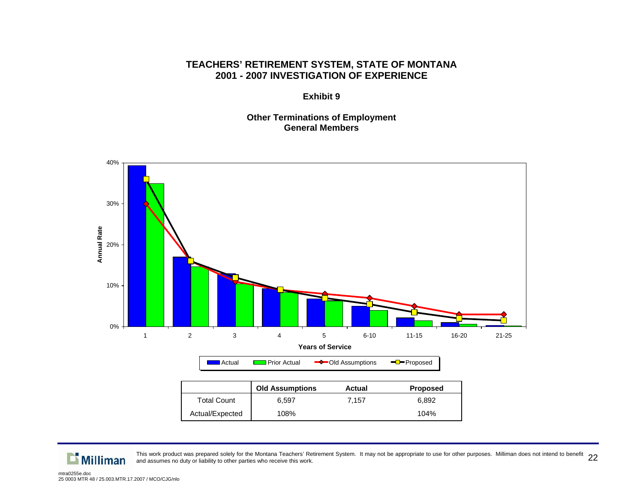**Exhibit 9** 

**Other Terminations of Employment General Members** 





This work product was prepared solely for the Montana Teachers' Retirement System. It may not be appropriate to use for other purposes. Milliman does not intend to benefit  $\,22$ <br>and assumes no duty or liability to other p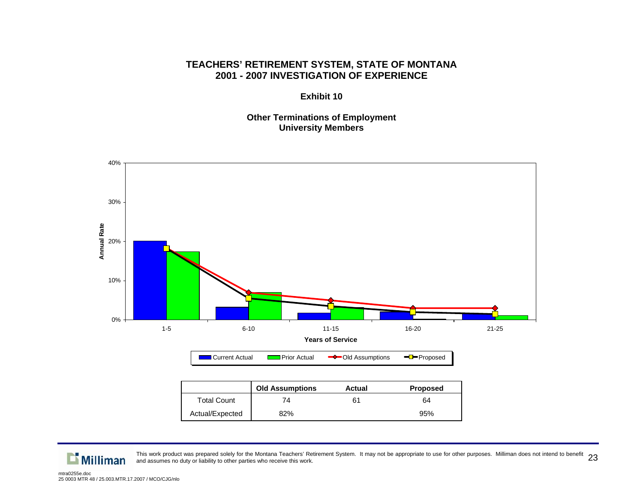**Exhibit 10** 

**Other Terminations of Employment University Members** 



|                    | <b>UIG ASSUMPTIONS</b> | Actual | Proposed |
|--------------------|------------------------|--------|----------|
| <b>Total Count</b> |                        |        | 64       |
| Actual/Expected    | 82%                    |        | 95%      |

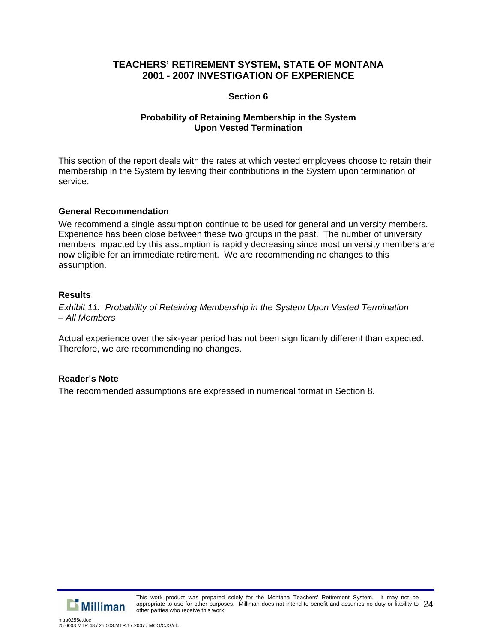### **Section 6**

### **Probability of Retaining Membership in the System Upon Vested Termination**

This section of the report deals with the rates at which vested employees choose to retain their membership in the System by leaving their contributions in the System upon termination of service.

### **General Recommendation**

We recommend a single assumption continue to be used for general and university members. Experience has been close between these two groups in the past. The number of university members impacted by this assumption is rapidly decreasing since most university members are now eligible for an immediate retirement. We are recommending no changes to this assumption.

### **Results**

*Exhibit 11: Probability of Retaining Membership in the System Upon Vested Termination – All Members* 

Actual experience over the six-year period has not been significantly different than expected. Therefore, we are recommending no changes.

# **Reader's Note**

The recommended assumptions are expressed in numerical format in Section 8.



This work product was prepared solely for the Montana Teachers' Retirement System. It may not be appropriate to use for other purposes. Milliman does not intend to benefit and assumes no duty or liability to  $~24$ other parties who receive this work.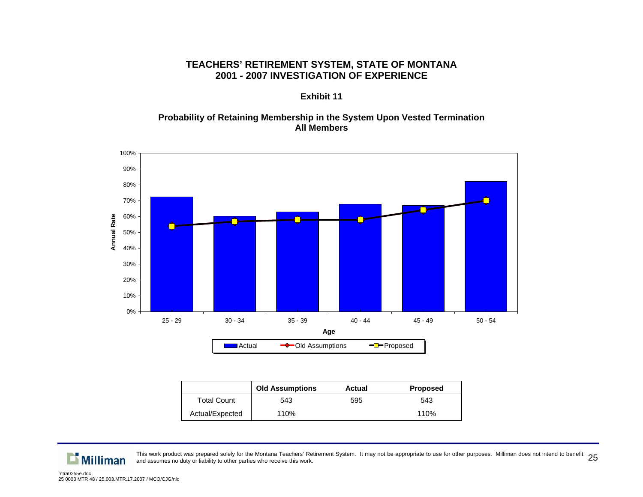#### **Exhibit 11**

#### **Probability of Retaining Membership in the System Upon Vested Termination All Members**



|                 | <b>Old Assumptions</b> | Actual | <b>Proposed</b> |
|-----------------|------------------------|--------|-----------------|
| Total Count     | 543                    | 595    | 543             |
| Actual/Expected | 110%                   |        | 110%            |

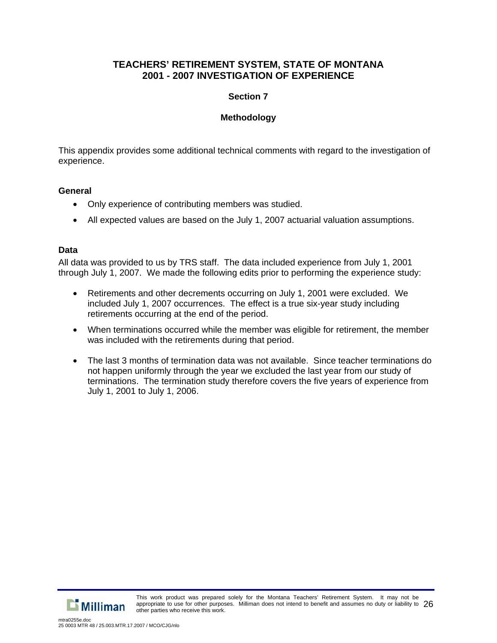# **Section 7**

# **Methodology**

This appendix provides some additional technical comments with regard to the investigation of experience.

### **General**

- Only experience of contributing members was studied.
- All expected values are based on the July 1, 2007 actuarial valuation assumptions.

### **Data**

All data was provided to us by TRS staff. The data included experience from July 1, 2001 through July 1, 2007. We made the following edits prior to performing the experience study:

- Retirements and other decrements occurring on July 1, 2001 were excluded. We included July 1, 2007 occurrences. The effect is a true six-year study including retirements occurring at the end of the period.
- When terminations occurred while the member was eligible for retirement, the member was included with the retirements during that period.
- The last 3 months of termination data was not available. Since teacher terminations do not happen uniformly through the year we excluded the last year from our study of terminations. The termination study therefore covers the five years of experience from July 1, 2001 to July 1, 2006.

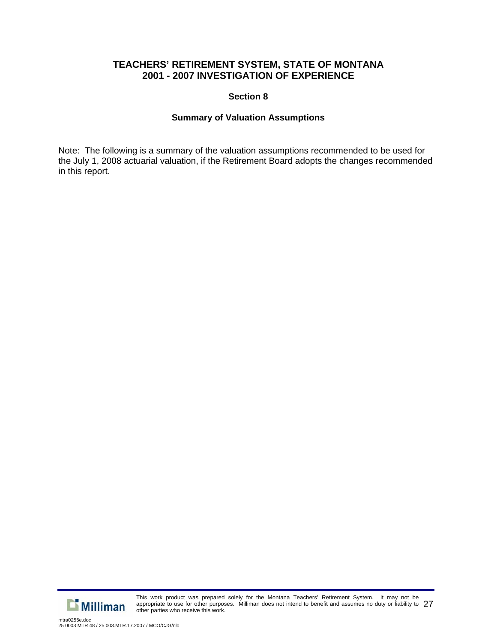### **Section 8**

### **Summary of Valuation Assumptions**

Note: The following is a summary of the valuation assumptions recommended to be used for the July 1, 2008 actuarial valuation, if the Retirement Board adopts the changes recommended in this report.



This work product was prepared solely for the Montana Teachers' Retirement System. It may not be appropriate to use for other purposes. Milliman does not intend to benefit and assumes no duty or liability to 27 other parties who receive this work.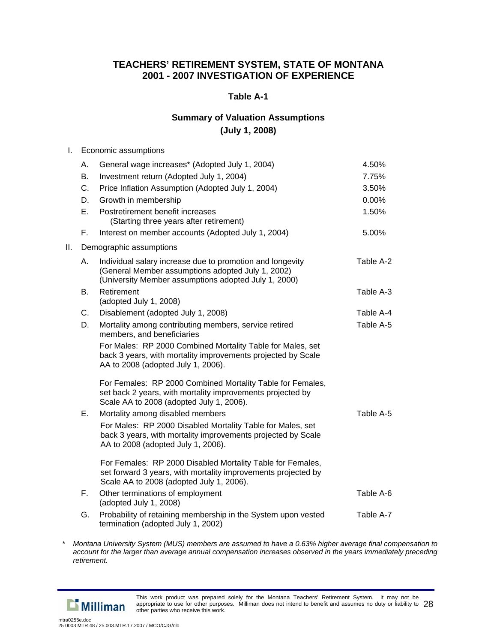### **Table A-1**

# **Summary of Valuation Assumptions (July 1, 2008)**

#### I. Economic assumptions

|     | А. | General wage increases* (Adopted July 1, 2004)                                                                                                                          | 4.50%     |
|-----|----|-------------------------------------------------------------------------------------------------------------------------------------------------------------------------|-----------|
|     | В. | Investment return (Adopted July 1, 2004)                                                                                                                                | 7.75%     |
|     | C. | Price Inflation Assumption (Adopted July 1, 2004)                                                                                                                       | 3.50%     |
|     | D. | Growth in membership                                                                                                                                                    | 0.00%     |
|     | E. | Postretirement benefit increases<br>(Starting three years after retirement)                                                                                             | 1.50%     |
|     | F. | Interest on member accounts (Adopted July 1, 2004)                                                                                                                      | 5.00%     |
| ΙΙ. |    | Demographic assumptions                                                                                                                                                 |           |
|     | А. | Individual salary increase due to promotion and longevity<br>(General Member assumptions adopted July 1, 2002)<br>(University Member assumptions adopted July 1, 2000)  | Table A-2 |
|     | В. | Retirement<br>(adopted July 1, 2008)                                                                                                                                    | Table A-3 |
|     | C. | Disablement (adopted July 1, 2008)                                                                                                                                      | Table A-4 |
|     | D. | Mortality among contributing members, service retired<br>members, and beneficiaries                                                                                     | Table A-5 |
|     |    | For Males: RP 2000 Combined Mortality Table for Males, set<br>back 3 years, with mortality improvements projected by Scale<br>AA to 2008 (adopted July 1, 2006).        |           |
|     |    | For Females: RP 2000 Combined Mortality Table for Females,<br>set back 2 years, with mortality improvements projected by<br>Scale AA to 2008 (adopted July 1, 2006).    |           |
|     | Ε. | Mortality among disabled members                                                                                                                                        | Table A-5 |
|     |    | For Males: RP 2000 Disabled Mortality Table for Males, set<br>back 3 years, with mortality improvements projected by Scale<br>AA to 2008 (adopted July 1, 2006).        |           |
|     |    | For Females: RP 2000 Disabled Mortality Table for Females,<br>set forward 3 years, with mortality improvements projected by<br>Scale AA to 2008 (adopted July 1, 2006). |           |
|     | Е. | Other terminations of employment<br>(adopted July 1, 2008)                                                                                                              | Table A-6 |
|     | G. | Probability of retaining membership in the System upon vested<br>termination (adopted July 1, 2002)                                                                     | Table A-7 |

*\* Montana University System (MUS) members are assumed to have a 0.63% higher average final compensation to account for the larger than average annual compensation increases observed in the years immediately preceding retirement.* 



This work product was prepared solely for the Montana Teachers' Retirement System. It may not be appropriate to use for other purposes. Milliman does not intend to benefit and assumes no duty or liability to  $\,28\,$ other parties who receive this work.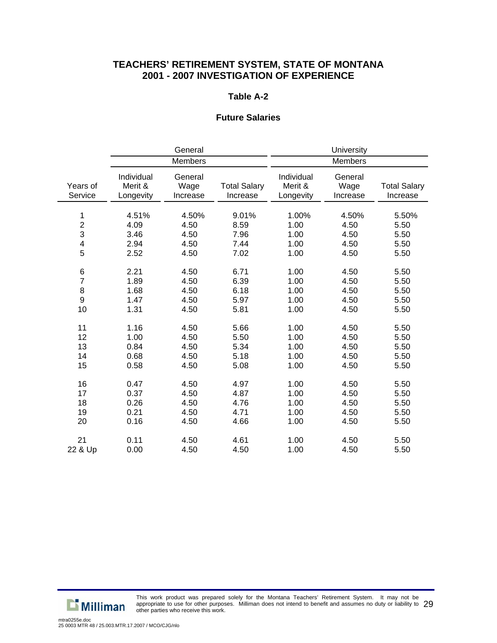#### **Table A-2**

#### **Future Salaries**

|                              | General                               |                                       | University                            |                                       |                                       |                                       |
|------------------------------|---------------------------------------|---------------------------------------|---------------------------------------|---------------------------------------|---------------------------------------|---------------------------------------|
|                              | <b>Members</b>                        |                                       | Members                               |                                       |                                       |                                       |
| Years of<br>Service          | Individual<br>Merit &<br>Longevity    | General<br>Wage<br>Increase           | <b>Total Salary</b><br>Increase       | Individual<br>Merit &<br>Longevity    | General<br>Wage<br>Increase           | <b>Total Salary</b><br>Increase       |
| 1<br>$\frac{2}{3}$<br>4<br>5 | 4.51%<br>4.09<br>3.46<br>2.94<br>2.52 | 4.50%<br>4.50<br>4.50<br>4.50<br>4.50 | 9.01%<br>8.59<br>7.96<br>7.44<br>7.02 | 1.00%<br>1.00<br>1.00<br>1.00<br>1.00 | 4.50%<br>4.50<br>4.50<br>4.50<br>4.50 | 5.50%<br>5.50<br>5.50<br>5.50<br>5.50 |
| $\,6$                        | 2.21                                  | 4.50                                  | 6.71                                  | 1.00                                  | 4.50                                  | 5.50                                  |
| $\overline{7}$               | 1.89                                  | 4.50                                  | 6.39                                  | 1.00                                  | 4.50                                  | 5.50                                  |
| $\bf 8$                      | 1.68                                  | 4.50                                  | 6.18                                  | 1.00                                  | 4.50                                  | 5.50                                  |
| $\boldsymbol{9}$             | 1.47                                  | 4.50                                  | 5.97                                  | 1.00                                  | 4.50                                  | 5.50                                  |
| 10                           | 1.31                                  | 4.50                                  | 5.81                                  | 1.00                                  | 4.50                                  | 5.50                                  |
| 11                           | 1.16                                  | 4.50                                  | 5.66                                  | 1.00                                  | 4.50                                  | 5.50                                  |
| 12                           | 1.00                                  | 4.50                                  | 5.50                                  | 1.00                                  | 4.50                                  | 5.50                                  |
| 13                           | 0.84                                  | 4.50                                  | 5.34                                  | 1.00                                  | 4.50                                  | 5.50                                  |
| 14                           | 0.68                                  | 4.50                                  | 5.18                                  | 1.00                                  | 4.50                                  | 5.50                                  |
| 15                           | 0.58                                  | 4.50                                  | 5.08                                  | 1.00                                  | 4.50                                  | 5.50                                  |
| 16                           | 0.47                                  | 4.50                                  | 4.97                                  | 1.00                                  | 4.50                                  | 5.50                                  |
| 17                           | 0.37                                  | 4.50                                  | 4.87                                  | 1.00                                  | 4.50                                  | 5.50                                  |
| 18                           | 0.26                                  | 4.50                                  | 4.76                                  | 1.00                                  | 4.50                                  | 5.50                                  |
| 19                           | 0.21                                  | 4.50                                  | 4.71                                  | 1.00                                  | 4.50                                  | 5.50                                  |
| 20                           | 0.16                                  | 4.50                                  | 4.66                                  | 1.00                                  | 4.50                                  | 5.50                                  |
| 21                           | 0.11                                  | 4.50                                  | 4.61                                  | 1.00                                  | 4.50                                  | 5.50                                  |
| 22 & Up                      | 0.00                                  | 4.50                                  | 4.50                                  | 1.00                                  | 4.50                                  | 5.50                                  |



This work product was prepared solely for the Montana Teachers' Retirement System. It may not be appropriate to use for other purposes. Milliman does not intend to benefit and assumes no duty or liability to  $~29$ other parties who receive this work.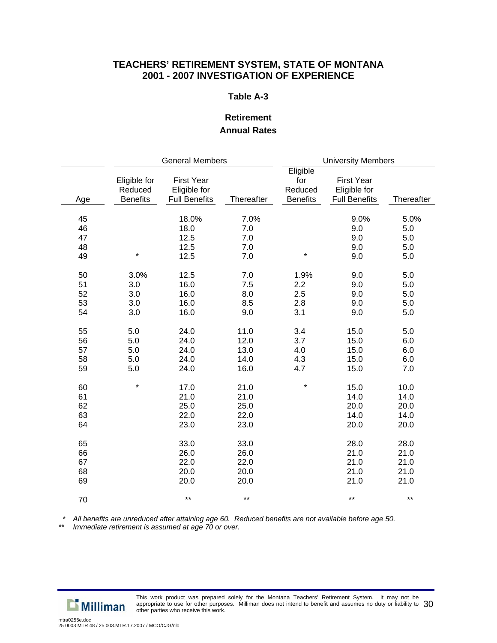#### **Table A-3**

# **Retirement Annual Rates**

|                            | <b>General Members</b>                     |                                                           |                                      | <b>University Members</b>                     |                                                           |                                      |
|----------------------------|--------------------------------------------|-----------------------------------------------------------|--------------------------------------|-----------------------------------------------|-----------------------------------------------------------|--------------------------------------|
| Age                        | Eligible for<br>Reduced<br><b>Benefits</b> | <b>First Year</b><br>Eligible for<br><b>Full Benefits</b> | Thereafter                           | Eligible<br>for<br>Reduced<br><b>Benefits</b> | <b>First Year</b><br>Eligible for<br><b>Full Benefits</b> | Thereafter                           |
| 45<br>46<br>47<br>48<br>49 | $\star$                                    | 18.0%<br>18.0<br>12.5<br>12.5<br>12.5                     | 7.0%<br>7.0<br>7.0<br>7.0<br>7.0     | $\star$                                       | 9.0%<br>9.0<br>9.0<br>9.0<br>9.0                          | 5.0%<br>5.0<br>5.0<br>5.0<br>5.0     |
| 50<br>51<br>52<br>53<br>54 | 3.0%<br>3.0<br>3.0<br>3.0<br>3.0           | 12.5<br>16.0<br>16.0<br>16.0<br>16.0                      | 7.0<br>7.5<br>8.0<br>8.5<br>9.0      | 1.9%<br>2.2<br>2.5<br>2.8<br>3.1              | 9.0<br>9.0<br>9.0<br>9.0<br>9.0                           | 5.0<br>5.0<br>5.0<br>5.0<br>5.0      |
| 55<br>56<br>57<br>58<br>59 | 5.0<br>5.0<br>5.0<br>5.0<br>5.0            | 24.0<br>24.0<br>24.0<br>24.0<br>24.0                      | 11.0<br>12.0<br>13.0<br>14.0<br>16.0 | 3.4<br>3.7<br>4.0<br>4.3<br>4.7               | 15.0<br>15.0<br>15.0<br>15.0<br>15.0                      | 5.0<br>6.0<br>6.0<br>6.0<br>7.0      |
| 60<br>61<br>62<br>63<br>64 | $\star$                                    | 17.0<br>21.0<br>25.0<br>22.0<br>23.0                      | 21.0<br>21.0<br>25.0<br>22.0<br>23.0 | $\star$                                       | 15.0<br>14.0<br>20.0<br>14.0<br>20.0                      | 10.0<br>14.0<br>20.0<br>14.0<br>20.0 |
| 65<br>66<br>67<br>68<br>69 |                                            | 33.0<br>26.0<br>22.0<br>20.0<br>20.0                      | 33.0<br>26.0<br>22.0<br>20.0<br>20.0 |                                               | 28.0<br>21.0<br>21.0<br>21.0<br>21.0                      | 28.0<br>21.0<br>21.0<br>21.0<br>21.0 |
| 70                         |                                            | $***$                                                     | $***$                                |                                               | $***$                                                     | $***$                                |

 *\* All benefits are unreduced after attaining age 60. Reduced benefits are not available before age 50.* 

*\*\* Immediate retirement is assumed at age 70 or over.* 

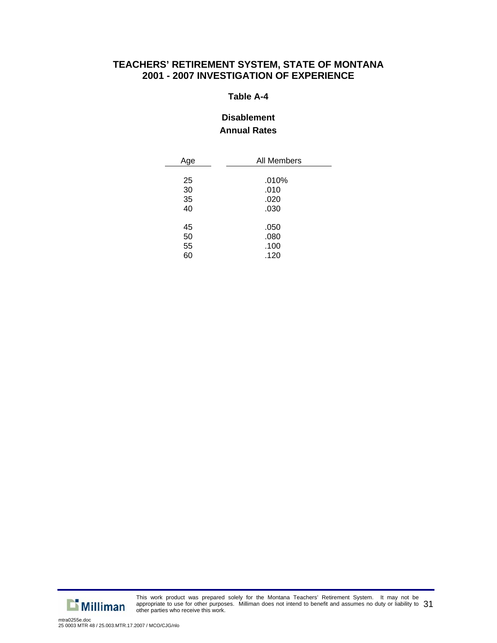#### **Table A-4**

# **Disablement Annual Rates**

| Age | All Members |  |  |
|-----|-------------|--|--|
|     |             |  |  |
| 25  | .010%       |  |  |
| 30  | .010        |  |  |
| 35  | .020        |  |  |
| 40  | .030        |  |  |
|     |             |  |  |
| 45  | .050        |  |  |
| 50  | .080        |  |  |
| 55  | .100        |  |  |
| 60  | .120        |  |  |



This work product was prepared solely for the Montana Teachers' Retirement System. It may not be appropriate to use for other purposes. Milliman does not intend to benefit and assumes no duty or liability to  $31$ other parties who receive this work.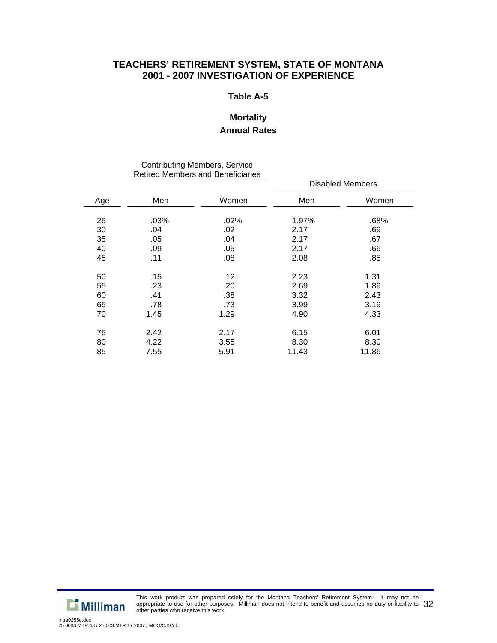#### **Table A-5**

# **Mortality**

# **Annual Rates**

#### Contributing Members, Service Retired Members and Beneficiaries

|     | INGUIGU IVIGHIDGIS AHU DEHGIIGILGS |       |       |                         |
|-----|------------------------------------|-------|-------|-------------------------|
|     |                                    |       |       | <b>Disabled Members</b> |
| Age | Men                                | Women | Men   | Women                   |
| 25  | .03%                               | .02%  | 1.97% | .68%                    |
| 30  | .04                                | .02   | 2.17  | .69                     |
| 35  | .05                                | .04   | 2.17  | .67                     |
| 40  | .09                                | .05   | 2.17  | .66                     |
| 45  | .11                                | .08   | 2.08  | .85                     |
| 50  | .15                                | .12   | 2.23  | 1.31                    |
| 55  | .23                                | .20   | 2.69  | 1.89                    |
| 60  | .41                                | .38   | 3.32  | 2.43                    |
| 65  | .78                                | .73   | 3.99  | 3.19                    |
| 70  | 1.45                               | 1.29  | 4.90  | 4.33                    |
| 75  | 2.42                               | 2.17  | 6.15  | 6.01                    |
| 80  | 4.22                               | 3.55  | 8.30  | 8.30                    |
| 85  | 7.55                               | 5.91  | 11.43 | 11.86                   |



This work product was prepared solely for the Montana Teachers' Retirement System. It may not be appropriate to use for other purposes. Milliman does not intend to benefit and assumes no duty or liability to  $\,32$ other parties who receive this work.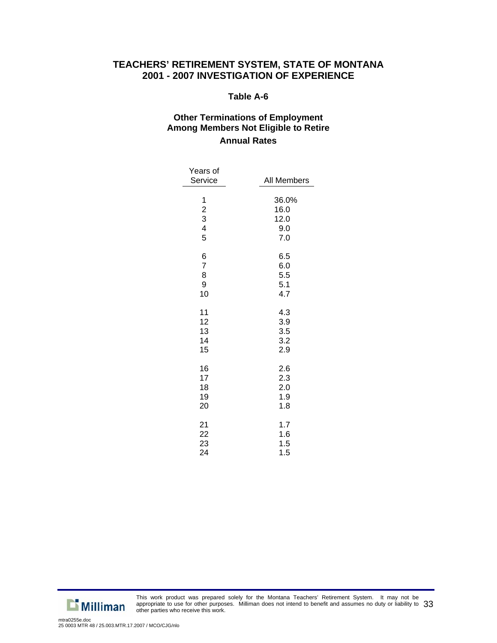#### **Table A-6**

# **Other Terminations of Employment Among Members Not Eligible to Retire Annual Rates**

| Years of<br>Service                                  | All Members                         |
|------------------------------------------------------|-------------------------------------|
| $\begin{array}{c} 1 \\ 2 \\ 3 \\ 4 \end{array}$<br>5 | 36.0%<br>16.0<br>12.0<br>9.0<br>7.0 |
| 6                                                    | 6.5                                 |
| $\overline{7}$                                       | 6.0                                 |
| 8                                                    | 5.5                                 |
| 9                                                    | 5.1                                 |
| 10                                                   | 4.7                                 |
| 11                                                   | 4.3                                 |
| 12                                                   | 3.9                                 |
| 13                                                   | 3.5                                 |
| 14                                                   | 3.2                                 |
| 15                                                   | 2.9                                 |
| 16                                                   | 2.6                                 |
| 17                                                   | 2.3                                 |
| 18                                                   | 2.0                                 |
| 19                                                   | 1.9                                 |
| 20                                                   | 1.8                                 |
| 21                                                   | 1.7                                 |
| 22                                                   | 1.6                                 |
| 23                                                   | 1.5                                 |
| 24                                                   | 1.5                                 |



This work product was prepared solely for the Montana Teachers' Retirement System. It may not be appropriate to use for other purposes. Milliman does not intend to benefit and assumes no duty or liability to  $\,33$ other parties who receive this work.